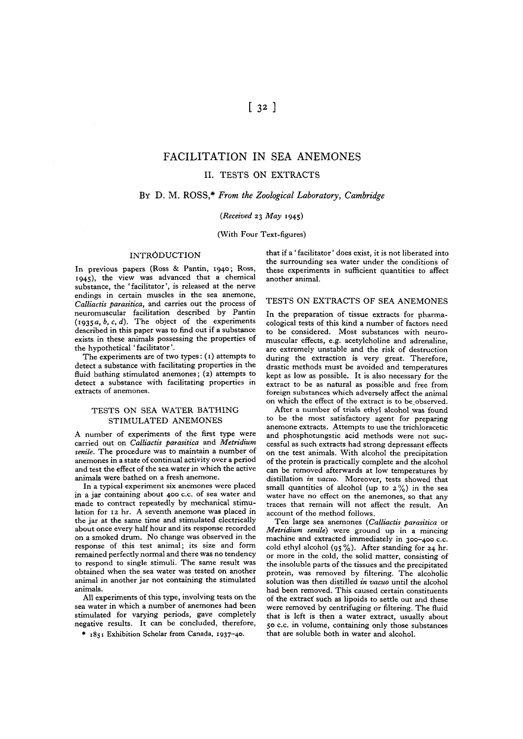# [32 ]

## FACILITATION IN SEA ANEMONES

## II. TESTS ON EXTRACTS

## BY D. M. ROSS,\* *From the Zoological Laboratory, Cambridge*

## *{Received* 23 *May* 1945)

(With Four Text-figures)

## **INTRODUCTION**

In previous papers (Ross & Pantin, 1940; Ross, 1945), the view was advanced that a chemical substance, the 'facilitator', is released at the nerve endings in certain muscles in the sea anemone, *Calliactis parasitica,* and carries out the process of neuromuscular facilitation described by Pantin (1935 a, *b, c, d).* The object of the experiments described in this paper was to find out if a substance exists in these animals possessing the properties of the hypothetical 'facilitator'.

The experiments are of two types: (1) attempts to detect a substance with facilitating properties in the fluid bathing stimulated anemones; (2) attempts to detect a substance with facilitating properties in extracts of anemones.

## TESTS ON SEA WATER BATHING STIMULATED ANEMONES

A number of experiments of the first type were carried out on *Calliactis parasitica* and *Metridium senile.* The procedure was to maintain a number of anemones in a state of continual activity over a period and test the effect of the sea water in which the active animals were bathed on a fresh anemone.

In a typical experiment six anemones were placed in a jar containing about 400 c.c. of sea water and made to contract repeatedly by mechanical stimu- lation for 12 hr. A seventh anemone was placed in the jar at the same time and stimulated electrically about once every half hour and its response recorded on a smoked drum. No change was observed in the response of this test animal; its size and form remained perfectly normal and there was no tendency to respond to single stimuli. The same result was obtained when the sea water was tested on another animal in another jar not containing the stimulated animals.

All experiments of this type, involving tests on the sea water in which a number of anemones had been stimulated for varying periods, gave completely negative results. It can be concluded, therefore,

\* 1851 Exhibition Scholar from Canada, 1937-40.

that if a ' facilitator' does exist, it is not liberated into the surrounding sea water under the conditions of these experiments in sufficient quantities to affect another animal.

#### TESTS ON EXTRACTS OF SEA ANEMONES

In the preparation of tissue extracts for pharma- cological tests of this kind a number of factors need to be considered. Most substances with neuro-<br>muscular effects, e.g. acetylcholine and adrenaline,<br>are extremely unstable and the risk of destruction during the extraction is very great. Therefore, drastic methods must be avoided and temperatures kept as low as possible. It is also necessary for the extract to be as natural as possible and free from foreign substances which adversely affect the animal on which the effect of the extract is to be.observed.

After a number of trials ethyl alcohol was found to be the most satisfactory agent for preparing anemone extracts. Attempts to use the trichloracetic cessful as such extracts had strong depressant effects on the test animals. With alcohol the precipitation of the protein is practically complete and the alcohol can be removed afterwards at low temperatures by distillation *in vacuo.* Moreover, tests showed that small quantities of alcohol (up to  $2\%$ ) in the sea water have no effect on the anemones, so that any traces that remain will not affect the result. An account of the method follows.

Ten large sea anemones *{Calliactis parasitica* or *Metridium senile*) were ground up in a mincing machine and extracted immediately in 300-400 c.c. cold ethyl alcohol (95 %). After standing for 24 hr. or more in the cold, the solid matter, consisting of the insoluble parts of the tissues and the precipitated protein, was removed by filtering. The alcoholic solution was then distilled *in vacuo* until the alcohol had been removed. This caused certain constituents of the extract such as lipoids to settle out and these were removed by centrifuging or filtering. The fluid that is left is then a water extract, usually about 50 c.c. in volume, containing only those substances that are soluble both in water and alcohol.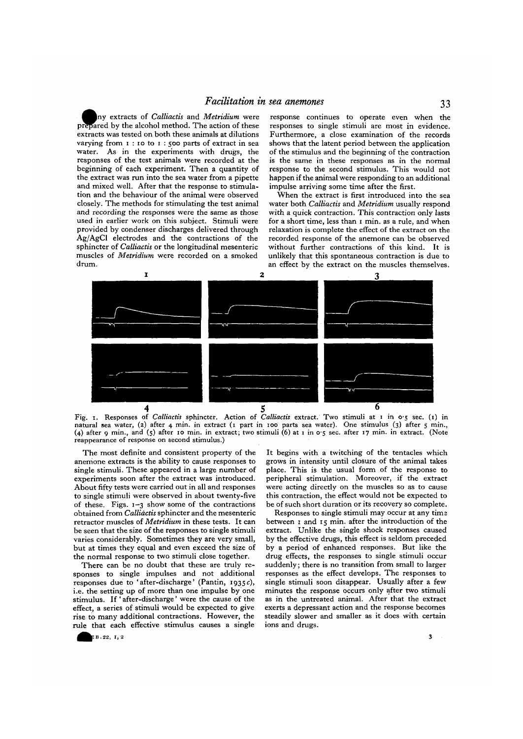|ny extracts of *Calliactis* and *Metridium* were prepared by the alcohol method. The action of these extracts was tested on both these animals at dilutions varying from  $i :$  10 to  $i :$  500 parts of extract in sea water. As in the experiments with drugs, the responses of the test animals were recorded at the beginning of each experiment. Then a quantity of the extract was run into the sea water from a pipette and mixed well. After that the response to stimula- tion and the behaviour of the animal were observed closely. The methods for stimulating the test animal and recording the responses were the same as those used in earlier work on this subject. Stimuli were provided by condenser discharges delivered through Ag/AgCl electrodes and the contractions of the sphincter of *Calliactis* or the longitudinal mesenteric muscles of *Metridium* were recorded on a smoked drum.

response continues to operate even when the responses to single stimuli are most in evidence. Furthermore, a close examination of the records shows that the latent period between the application of the stimulus and the beginning of the contraction is the same in these responses as in the normal response to the second stimulus. This would not happen if the animal were responding to an additional impulse arriving some time after the first.

When the extract is first introduced into the sea water both *Calliactis* and *Metridium* usually respond with a quick contraction. This contraction only lasts for a short time, less than 1 min. as a rule, and when relaxation is complete the effect of the extract on the recorded response of the anemone can be observed without further contractions of this kind. It is unlikely that this spontaneous contraction is due to an effect by the extract on the muscles themselves.



natural sea water, (2) after 4 min. in extract (1 part in 100 parts sea water). One stimulus (3) after 5 min.<br>(4) after 9 min., and (5) after 10 min. in extract; two stimuli (6) at 1 in 0.5 sec. after 17 min. in extract.

The most definite and consistent property of the anemone extracts is the ability to cause responses to single stimuli. These appeared in a large number of experiments soon after the extract was introduced. About fifty tests were carried out in all and responses to single stimuli were observed in about twenty-five of these. Figs. 1-3 show some of the contractions obtained from *Calliactis* sphincter and the mesenteric retractor muscles of *Metridium* in these tests. It can be seen that the size of the responses to single stimuli varies considerably. Sometimes they are very small, but at times they equal and even exceed the size of the normal response to two stimuli close together.

There can be no doubt that these are truly re- sponses to single impulses and not additional responses due to 'after-discharge' (Pantin, 1935c), i.e. the setting up of more than one impulse by one stimulus. If ' after-discharge' were the cause of the effect, a series of stimuli would be expected to give rise to many additional contractions. However, the rule that each effective stimulus causes a single

**22, 1, 2**

It begins with a twitching of the tentacles which grows in intensity until closure of the animal takes place. This is the usual form of the response to peripheral stimulation. Moreover, if the extract were acting directly on the muscles so as to cause this contraction, the effect would not be expected to be of such short duration or its recovery so complete. Responses to single stimuli may occur at any tim2

between 1 and 15 min. after the introduction of the extract. Unlike the single shock responses caused by the effective drugs, this effect is seldom preceded by a period of enhanced responses. But like the drug effects, the responses to single stimuli occur suddenly; there is no transition from small to larger responses as the effect develops. The responses to single stimuli soon disappear. Usually after a few minutes the response occurs only after two stimuli as in the untreated animal. After that the extract exerts a depressant action and the response becomes steadily slower and smaller as it does with certain ions and drugs.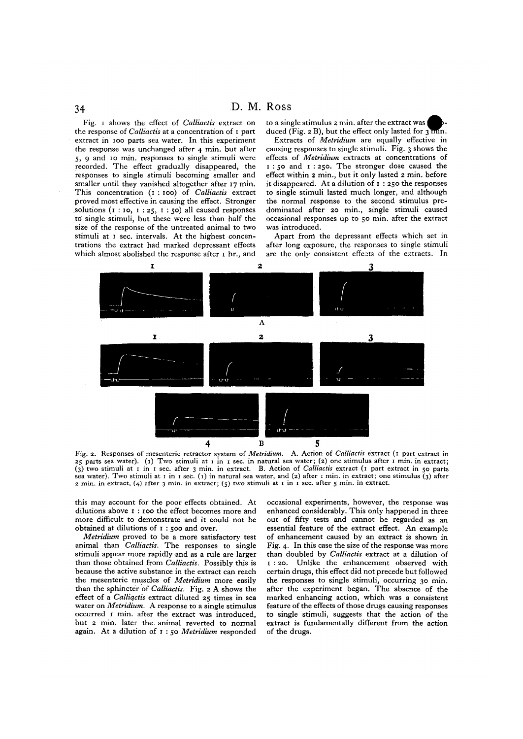Fig. i shows the effect of *Calliactis* extract on the response of *Calliactis* at a concentration of I part extract in ioo parts sea water. In this experiment the response was unchanged after 4 min. but after 5, 9 and 10 min. responses to single stimuli were recorded. The effect gradually disappeared, the responses to single stimuli becoming smaller and smaller until they vanished altogether after 17 min. This concentration (1 : 100) of *Calliactis* extract proved most effective in causing the effect. Stronger solutions  $(1 : 10, 1 : 25, 1 : 50)$  all caused responses to single stimuli, but these were less than half the size of the response of the untreated animal to two stimuli at  $1$  sec. intervals. At the highest concentrations the extract had marked depressant effects which almost abolished the response after 1 hr., and to a single stimulus  $2 \text{ min.}$  after the extract was duced (Fig.  $2$  B), but the effect only lasted for  $3 \text{ min}$ .

Extracts of *Metridium* are equally effective in causing responses to single stimuli. Fig. 3 shows the effects of *Metridium* extracts at concentrations of *1* : 50 and 1 : 250. The stronger dose caused the effect within 2 min., but it only lasted 2 min. before it disappeared. At a dilution of  $r : 250$  the responses to single stimuli lasted much longer, and although the normal response to the second stimulus pre- dominated after 20 min., single stimuli caused occasional responses up to 50 min. after the extract was introduced.

Apart from the depressant effects which set in after long exposure, the responses to single stimuli are the onlv consistent effects of the extracts. In



Fig. 2. Responses of mesenteric retractor system of Metridium. A. Action of Calliactis extract (1 part extract in 25 parts sea water). (1) Two stimuli at 1 in 1 sec. in natural sea water; (2) one stimulus after 1 min. in (3) two stimuli at *I* in *I* sec. after 3 min. in extract. B. Action of *Calliactis* extract (*I* part extract in 50 parts sea water). Two stimuli at *I* in *I* sec. (*I*) in natural sea water, and (2) after *I* min. in

this may account for the poor effects obtained. At dilutions above 1 : 100 the effect becomes more and more difficult to demonstrate and it could not be obtained at dilutions of 1 : 500 and over.

*Metridium* proved to be a more satisfactory test animal than *Calliactis.* The responses to single stimuli appear more rapidly and as a rule are larger than those obtained from *Calliactis.* Possibly this is because the active substance in the extract can reach the mesenteric muscles of *Metridium* more easily than the sphincter of *Calliactis.* Fig. 2 A shows the effect of a *Calliactis* extract diluted 25 times in sea water on *Metridium.* A response to a single stimulus occurred 1 min. after the extract was introduced, but 2 min. later the animal reverted to normal again. At a dilution of 1 : 50 *Metridium* responded

occasional experiments, however, the response was enhanced considerably. This only happened in three out of fifty tests and cannot be regarded as an essential feature of the extract effect. An example of enhancement caused by an extract is shown in Fig. 4. In this case the size of the response was more than doubled by *Calliactis* extract at a dilution of 1 : 20. Unlike the enhancement observed with certain drugs, this effect did not precede but followed the responses to single stimuli, occurring 30 min. after the experiment began. The absence of the marked enhancing action, which was a consistent feature of the effects of those drugs causing responses to single stimuli, suggests that the action of the extract is fundamentally different from the action of the drugs.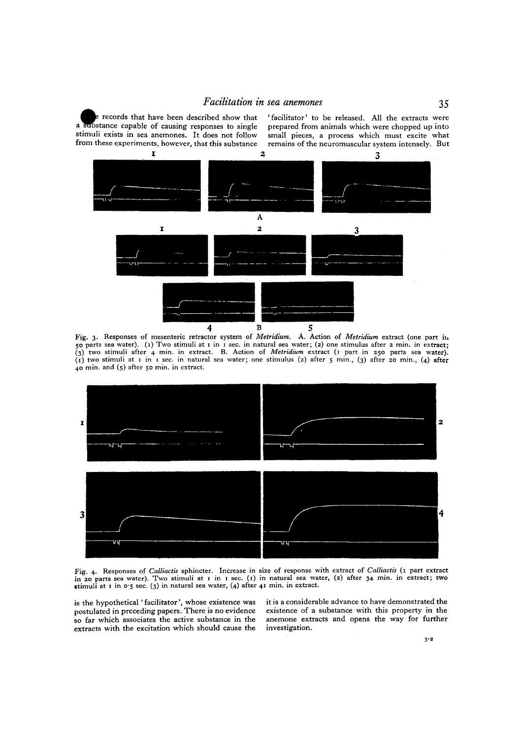records that have been described show that a substance capable of causing responses to single stimuli exists in sea anemones. It does hot follow from these experiments, however, that this substance 'facilitator' to be released. All the extracts were prepared from animals which were chopped up into small pieces, a process which must excite what remains of the neuromuscular system intensely. But



50 parts sea water). (1) Two stimuli at 1 in 1 sec. in natural sea water; (2) one stimulus after 2 min. in extract; (3) two stimuli after 4 min. in extract. B. Action of *Metridium* extract (1 part in 250 parts sea water).  $\overrightarrow{I}$  (i) two stimuli at 1 in 1 sec. in natural sea water; one stimulus (2) after 5 min., (3) after 20 min., (4) after 40 min. and (5) after 50 min. in extract.



Fig. 4. Responses of *Calliactis* sphincter. Increase in size of response with extract of *Calliactis* (1 part extract in 20 parts sea water). Two stimuli at 1 in 1 sec. (1) in natural sea water, (2) after 34 min. in extract; two stimuli at 1 in 0.5 sec. (3) in natural sea water, (4) after 41 min. in extract.

is the hypothetical 'facilitator', whose existence was postulated in preceding papers. There is no evidence so far which associates the active substance in the extracts with the excitation which should cause the

it is a considerable advance to have demonstrated the existence of a substance with this property in the anemone extracts and opens the way for further investigation.